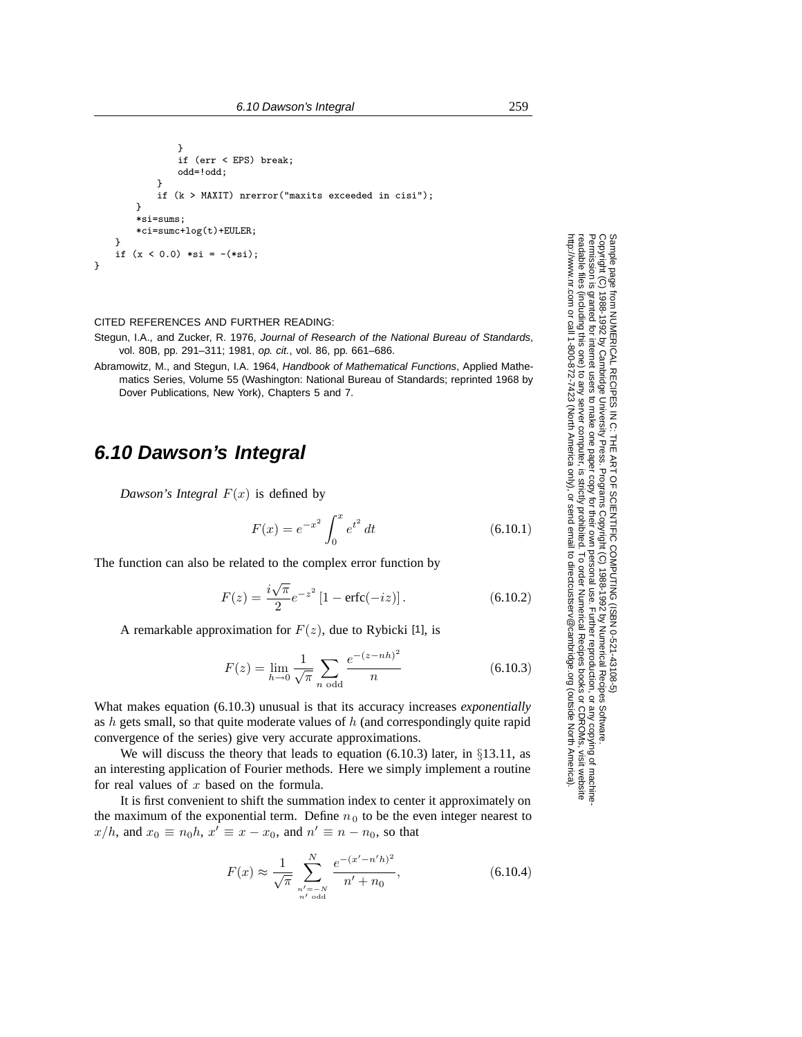```
}
               if (err < EPS) break;
               odd=!odd;
           }
            if (k > MAXIT) nrerror("maxits exceeded in cisi");
        }
        *si=sums;
        *ci=sumc+log(t)+EULER;
    }
    if (x < 0.0) *si = -(*si);
}
```
CITED REFERENCES AND FURTHER READING:

- Stegun, I.A., and Zucker, R. 1976, Journal of Research of the National Bureau of Standards, vol. 80B, pp. 291–311; 1981, op. cit., vol. 86, pp. 661–686.
- Abramowitz, M., and Stegun, I.A. 1964, Handbook of Mathematical Functions, Applied Mathematics Series, Volume 55 (Washington: National Bureau of Standards; reprinted 1968 by Dover Publications, New York), Chapters 5 and 7.

## **6.10 Dawson's Integral**

*Dawson's Integral*  $F(x)$  is defined by

$$
F(x) = e^{-x^2} \int_0^x e^{t^2} dt
$$
 (6.10.1)

The function can also be related to the complex error function by

$$
F(z) = \frac{i\sqrt{\pi}}{2}e^{-z^2}[1 - \text{erfc}(-iz)].
$$
 (6.10.2)

A remarkable approximation for  $F(z)$ , due to Rybicki [1], is

$$
F(z) = \lim_{h \to 0} \frac{1}{\sqrt{\pi}} \sum_{n \text{ odd}} \frac{e^{-(z - nh)^2}}{n}
$$
 (6.10.3)

What makes equation (6.10.3) unusual is that its accuracy increases *exponentially* as  $h$  gets small, so that quite moderate values of  $h$  (and correspondingly quite rapid convergence of the series) give very accurate approximations.

We will discuss the theory that leads to equation (6.10.3) later, in  $\S 13.11$ , as an interesting application of Fourier methods. Here we simply implement a routine for real values of  $x$  based on the formula.

It is first convenient to shift the summation index to center it approximately on the maximum of the exponential term. Define  $n_0$  to be the even integer nearest to  $x/h$ , and  $x_0 \equiv n_0 h$ ,  $x' \equiv x - x_0$ , and  $n' \equiv n - n_0$ , so that

$$
F(x) \approx \frac{1}{\sqrt{\pi}} \sum_{\substack{n'=-N \ n' \text{ odd}}}^{N} \frac{e^{-(x'-n'h)^2}}{n'+n_0},
$$
\n(6.10.4)

Permission is granted for internet users to make one paper copy for their own personal use. Further reproduction, or any copyin Copyright (C) 1988-1992 by Cambridge University Press.Programs Copyright (C) 1988-1992 by Numerical Recipes Software. Sample page from NUMERICAL RECIPES IN C: THE ART OF SCIENTIFIC COMPUTING (ISBN 0-521-43108-5) g of machinereadable files (including this one) to any servercomputer, is strictly prohibited. To order Numerical Recipes booksor CDROMs, visit website http://www.nr.com or call 1-800-872-7423 (North America only),or send email to directcustserv@cambridge.org (outside North America).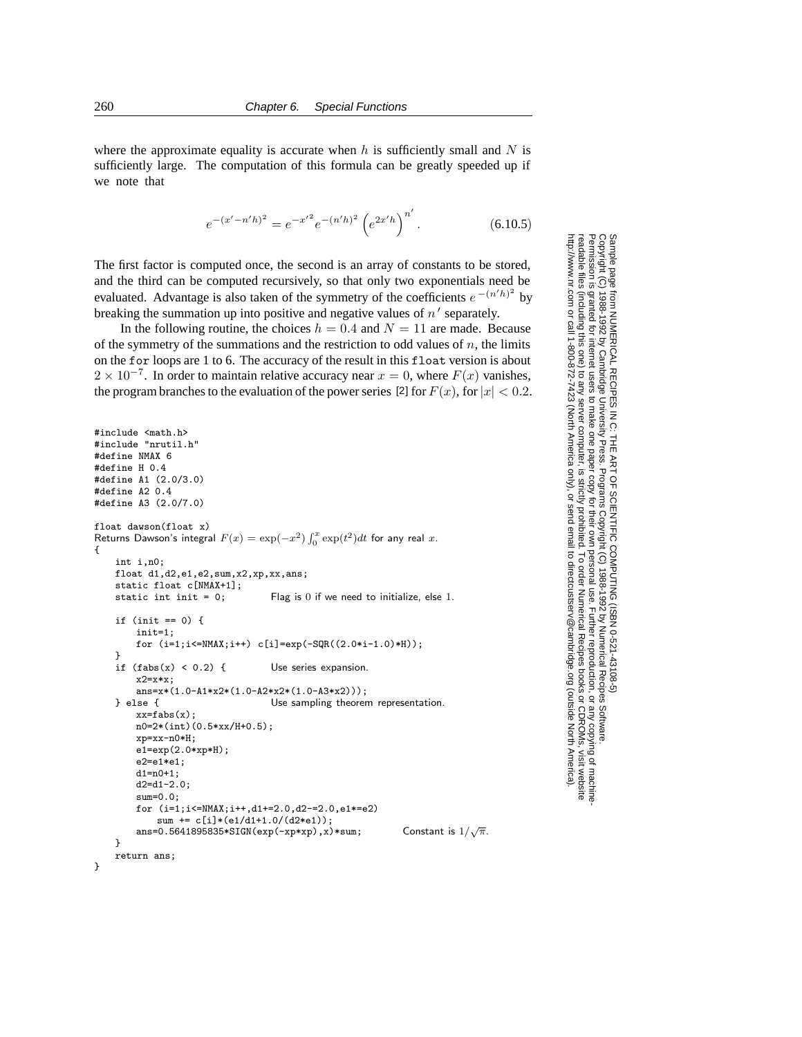where the approximate equality is accurate when  $h$  is sufficiently small and  $N$  is sufficiently large. The computation of this formula can be greatly speeded up if we note that

$$
e^{-(x'-n'h)^2} = e^{-x'^2} e^{-(n'h)^2} \left(e^{2x'h}\right)^{n'}.
$$
 (6.10.5)

The first factor is computed once, the second is an array of constants to be stored, and the third can be computed recursively, so that only two exponentials need be evaluated. Advantage is also taken of the symmetry of the coefficients  $e^{-(n'h)^2}$  by breaking the summation up into positive and negative values of  $n'$  separately.

In the following routine, the choices  $h = 0.4$  and  $N = 11$  are made. Because of the symmetry of the summations and the restriction to odd values of  $n$ , the limits on the for loops are 1 to 6. The accuracy of the result in this float version is about  $2 \times 10^{-7}$ . In order to maintain relative accuracy near  $x = 0$ , where  $F(x)$  vanishes, the program branches to the evaluation of the power series [2] for  $F(x)$ , for  $|x| < 0.2$ .

```
#include <math.h>
#include "nrutil.h"
#define NMAX 6
#define H 0.4
#define A1 (2.0/3.0)
#define A2 0.4
#define A3 (2.0/7.0)
float dawson(float x)
Returns Dawson's integral F(x) = \exp(-x^2) \int_0^x \exp(t^2) dt for any real x.
{
    int i,n0;
    float d1,d2,e1,e2,sum,x2,xp,xx,ans;
    static float c[NMAX+1];<br>static int init = 0;
                                  Flag is 0 if we need to initialize, else 1.
    if (init == 0) {
        init=1;
        for (i=1; i<=NMAX; i++) c[i]=exp(-SQR((2.0*i-1.0)*H);
    }
    if (fabs(x) < 0.2) { Use series expansion.
        x2=x*x;
        ans=x*(1.0-A1*x2*(1.0-A2*x2*(1.0-A3*x2)));
    } else { Use sampling theorem representation.
        xx=fabs(x);
        n0=2*(int)(0.5*xx/H+0.5);
        xp=xx-n0*H;
        e1=exp(2.0*xp*H);
        e2 = e1 * e1:
        d1=n0+1;
        d2=d1-2.0;
        sum=0.0;
        for (i=1;i<=NMAX;i++,d1+=2.0,d2-=2.0,e1*=e2)
            sum += c[i]*(e1/d1+1.0/(d2*e1));
        ans=0.5641895835*SIGN(exp(-xp*xp),x)*sum;Constant is 1/\sqrt{\pi}.
    }
    return ans;
}
```
Permission is granted for internet users to make one paper copy for their own personal use. Further reproduction, or any copyin Copyright (C) 1988-1992 by Cambridge University Press.Programs Copyright (C) 1988-1992 by Numerical Recipes Software. Sample page from NUMERICAL RECIPES IN C: THE ART OF SCIENTIFIC COMPUTING (ISBN 0-521-43108-5) g of machinereadable files (including this one) to any servercomputer, is strictly prohibited. To order Numerical Recipes booksor CDROMs, visit website http://www.nr.com or call 1-800-872-7423 (North America only),or send email to directcustserv@cambridge.org (outside North America).